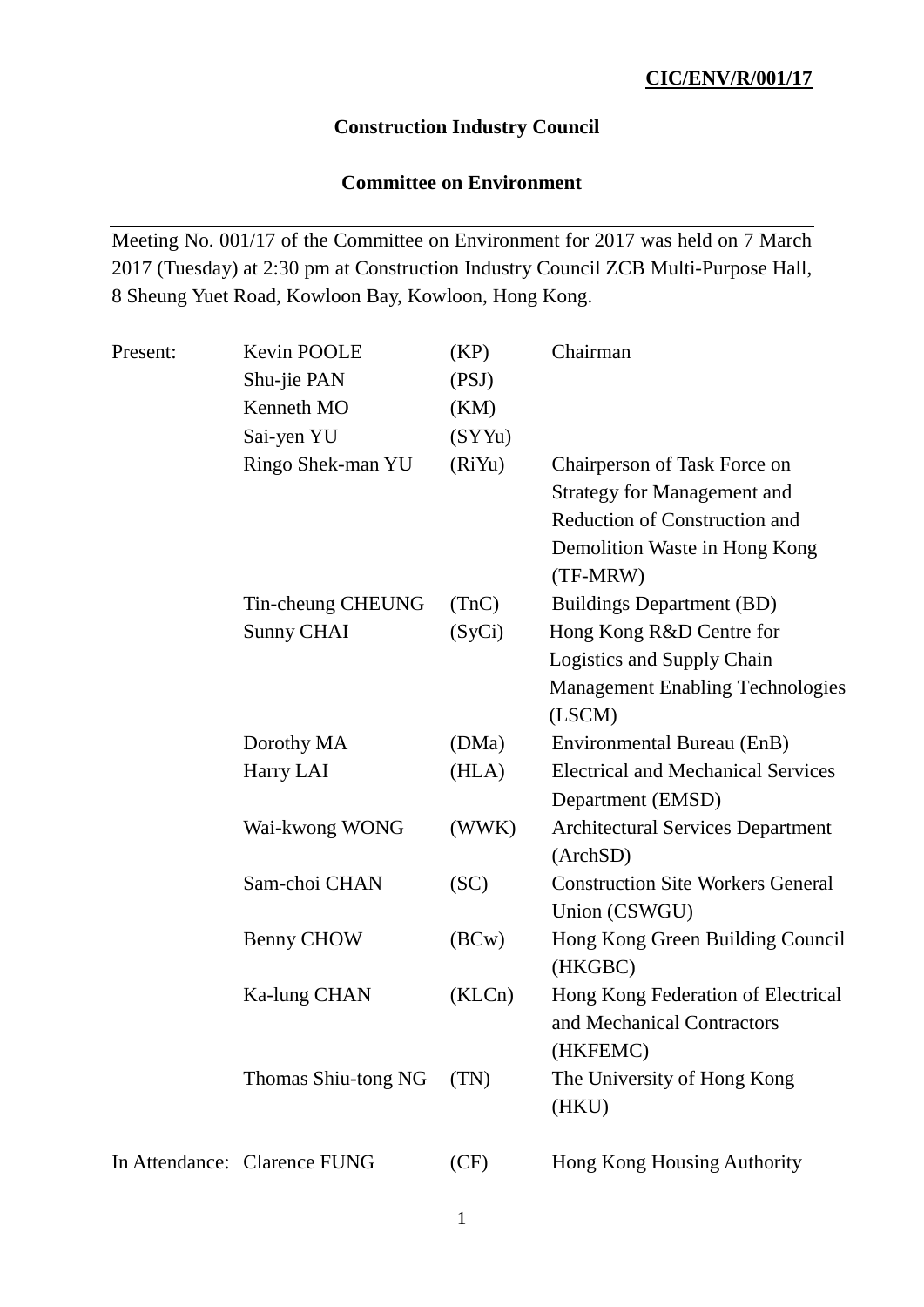## **Construction Industry Council**

## **Committee on Environment**

Meeting No. 001/17 of the Committee on Environment for 2017 was held on 7 March 2017 (Tuesday) at 2:30 pm at Construction Industry Council ZCB Multi-Purpose Hall, 8 Sheung Yuet Road, Kowloon Bay, Kowloon, Hong Kong.

| Present: | Kevin POOLE                  | (KP)   | Chairman                                  |
|----------|------------------------------|--------|-------------------------------------------|
|          | Shu-jie PAN                  | (PSJ)  |                                           |
|          | Kenneth MO                   | (KM)   |                                           |
|          | Sai-yen YU                   | (SYYu) |                                           |
|          | Ringo Shek-man YU            | (RiYu) | Chairperson of Task Force on              |
|          |                              |        | <b>Strategy for Management and</b>        |
|          |                              |        | <b>Reduction of Construction and</b>      |
|          |                              |        | Demolition Waste in Hong Kong             |
|          |                              |        | (TF-MRW)                                  |
|          | Tin-cheung CHEUNG            | (TnC)  | <b>Buildings Department (BD)</b>          |
|          | <b>Sunny CHAI</b>            | (SyCi) | Hong Kong R&D Centre for                  |
|          |                              |        | Logistics and Supply Chain                |
|          |                              |        | <b>Management Enabling Technologies</b>   |
|          |                              |        | (LSCM)                                    |
|          | Dorothy MA                   | (DMa)  | Environmental Bureau (EnB)                |
|          | Harry LAI                    | (HLA)  | <b>Electrical and Mechanical Services</b> |
|          |                              |        | Department (EMSD)                         |
|          | Wai-kwong WONG               | (WWK)  | <b>Architectural Services Department</b>  |
|          |                              |        | (ArchSD)                                  |
|          | Sam-choi CHAN                | (SC)   | <b>Construction Site Workers General</b>  |
|          |                              |        | Union (CSWGU)                             |
|          | Benny CHOW                   | (BCW)  | Hong Kong Green Building Council          |
|          |                              |        | (HKGBC)                                   |
|          | Ka-lung CHAN                 | (KLCn) | Hong Kong Federation of Electrical        |
|          |                              |        | and Mechanical Contractors                |
|          |                              |        | (HKFEMC)                                  |
|          | Thomas Shiu-tong NG          | (TN)   | The University of Hong Kong               |
|          |                              |        | (HKU)                                     |
|          | In Attendance: Clarence FUNG | (CF)   | Hong Kong Housing Authority               |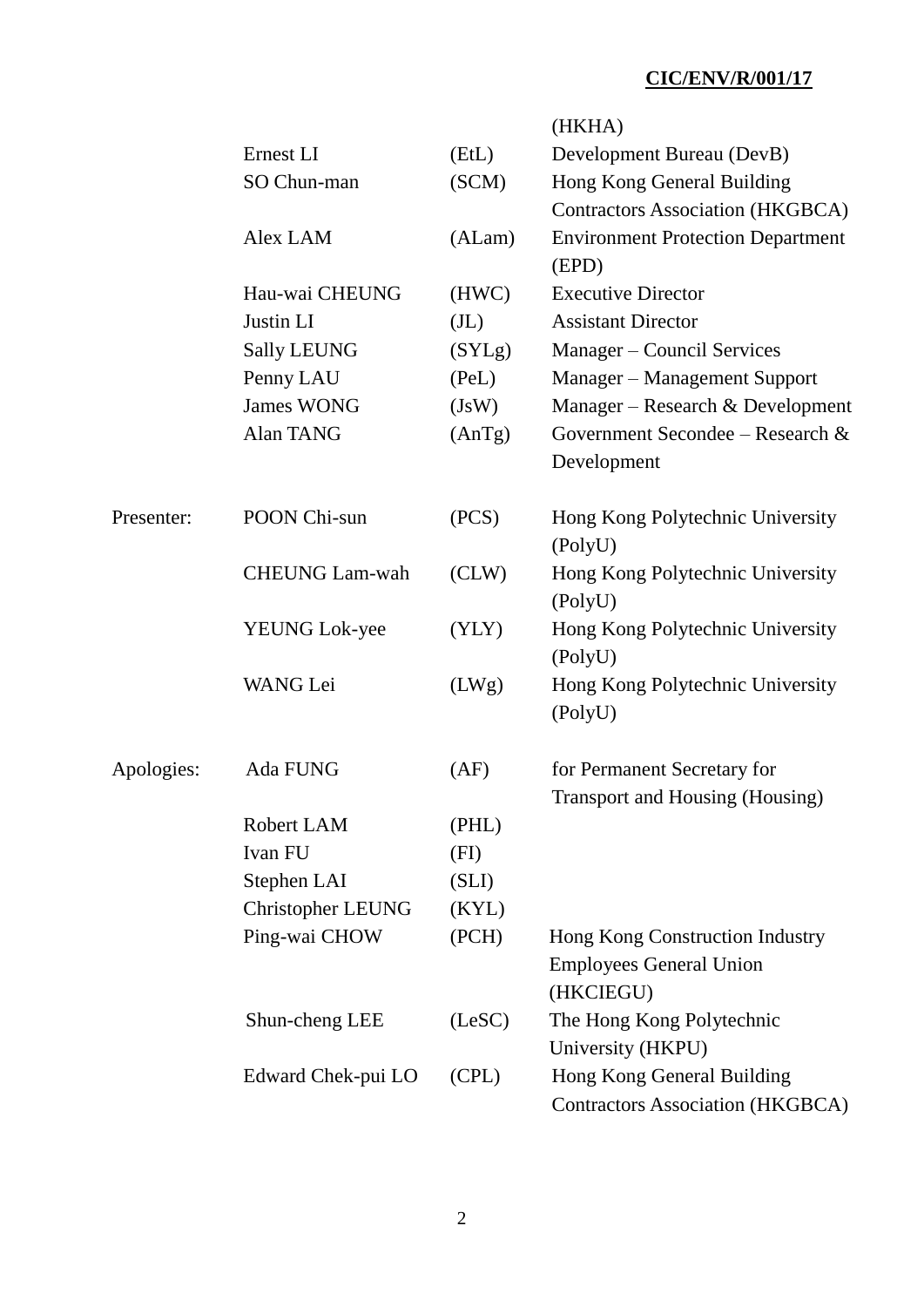|            |                          |                   | (HKHA)                                   |
|------------|--------------------------|-------------------|------------------------------------------|
|            | Ernest LI                | (EtL)             | Development Bureau (DevB)                |
|            | SO Chun-man              | (SCM)             | Hong Kong General Building               |
|            |                          |                   | <b>Contractors Association (HKGBCA)</b>  |
|            | Alex LAM                 | (ALam)            | <b>Environment Protection Department</b> |
|            |                          |                   | (EPD)                                    |
|            | Hau-wai CHEUNG           | (HWC)             | <b>Executive Director</b>                |
|            | Justin LI                | (J <sub>L</sub> ) | <b>Assistant Director</b>                |
|            | <b>Sally LEUNG</b>       | (SYLg)            | Manager – Council Services               |
|            | Penny LAU                | (PeL)             | Manager - Management Support             |
|            | <b>James WONG</b>        | (JsW)             | Manager - Research & Development         |
|            | Alan TANG                | (AnTg)            | Government Secondee – Research &         |
|            |                          |                   | Development                              |
| Presenter: | POON Chi-sun             | (PCS)             | Hong Kong Polytechnic University         |
|            |                          |                   | (PolyU)                                  |
|            | <b>CHEUNG Lam-wah</b>    | (CLW)             | Hong Kong Polytechnic University         |
|            |                          |                   | (PolyU)                                  |
|            | <b>YEUNG Lok-yee</b>     | (YLY)             | Hong Kong Polytechnic University         |
|            |                          |                   | (PolyU)                                  |
|            | <b>WANG</b> Lei          | (LWg)             | Hong Kong Polytechnic University         |
|            |                          |                   | (PolyU)                                  |
| Apologies: | Ada FUNG                 | (AF)              | for Permanent Secretary for              |
|            |                          |                   | Transport and Housing (Housing)          |
|            | Robert LAM               | (PHL)             |                                          |
|            | Ivan FU                  | (FI)              |                                          |
|            | Stephen LAI              | (SLI)             |                                          |
|            | <b>Christopher LEUNG</b> | (KYL)             |                                          |
|            | Ping-wai CHOW            | (PCH)             | Hong Kong Construction Industry          |
|            |                          |                   | <b>Employees General Union</b>           |
|            |                          |                   | (HKCIEGU)                                |
|            | Shun-cheng LEE           | (LeSC)            | The Hong Kong Polytechnic                |
|            |                          |                   | University (HKPU)                        |
|            | Edward Chek-pui LO       | (CPL)             | Hong Kong General Building               |
|            |                          |                   | <b>Contractors Association (HKGBCA)</b>  |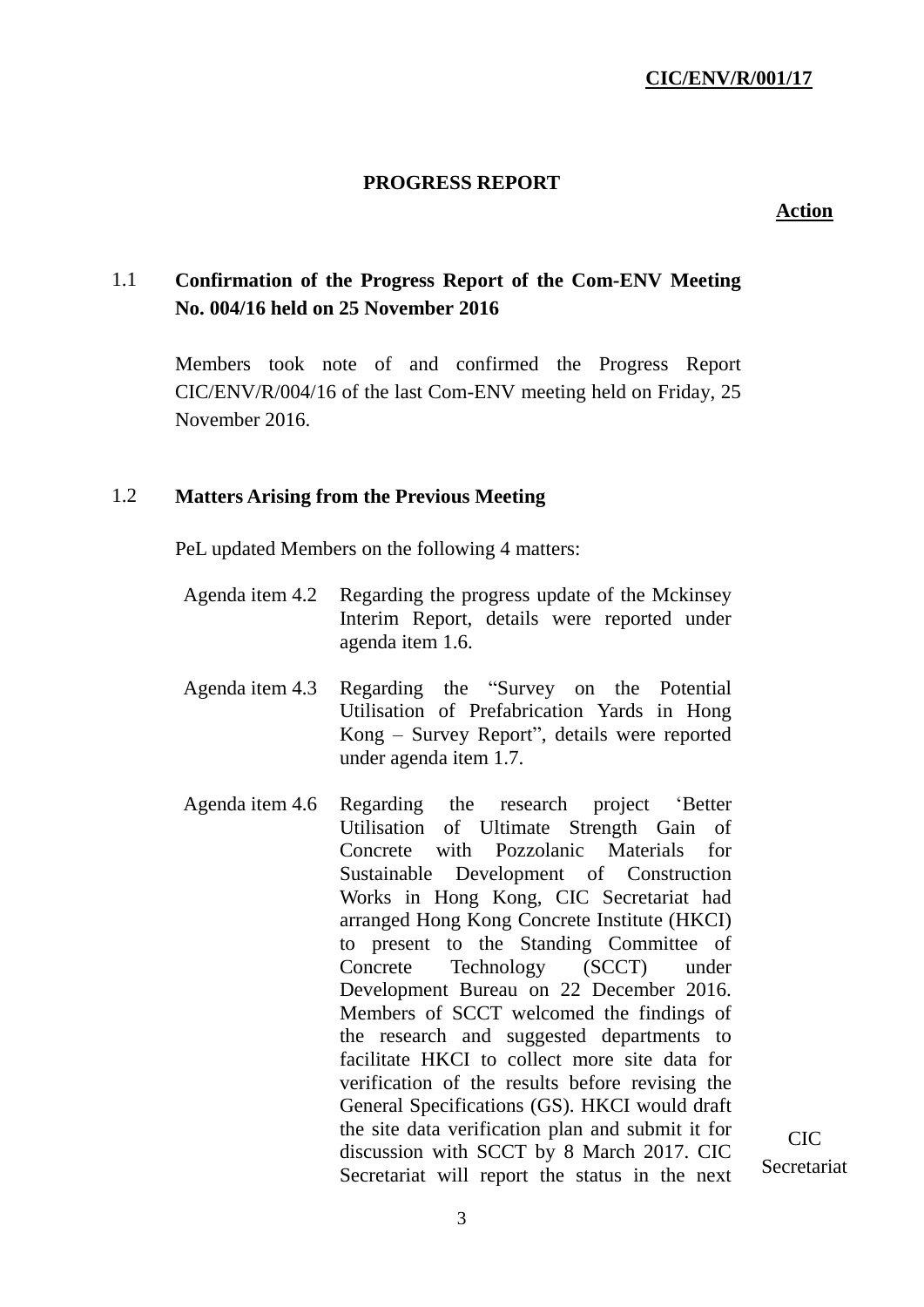#### **PROGRESS REPORT**

#### **Action**

## 1.1 **Confirmation of the Progress Report of the Com-ENV Meeting No. 004/16 held on 25 November 2016**

Members took note of and confirmed the Progress Report CIC/ENV/R/004/16 of the last Com-ENV meeting held on Friday, 25 November 2016.

#### 1.2 **Matters Arising from the Previous Meeting**

PeL updated Members on the following 4 matters:

- Agenda item 4.2 Regarding the progress update of the Mckinsey Interim Report, details were reported under agenda item 1.6.
- Agenda item 4.3 Regarding the "Survey on the Potential Utilisation of Prefabrication Yards in Hong Kong – Survey Report", details were reported under agenda item 1.7.
- Agenda item 4.6 Regarding the research project 'Better Utilisation of Ultimate Strength Gain of Concrete with Pozzolanic Materials for Sustainable Development of Construction Works in Hong Kong, CIC Secretariat had arranged Hong Kong Concrete Institute (HKCI) to present to the Standing Committee of Concrete Technology (SCCT) under Development Bureau on 22 December 2016. Members of SCCT welcomed the findings of the research and suggested departments to facilitate HKCI to collect more site data for verification of the results before revising the General Specifications (GS). HKCI would draft the site data verification plan and submit it for discussion with SCCT by 8 March 2017. CIC Secretariat will report the status in the next

 $CIC$ Secretariat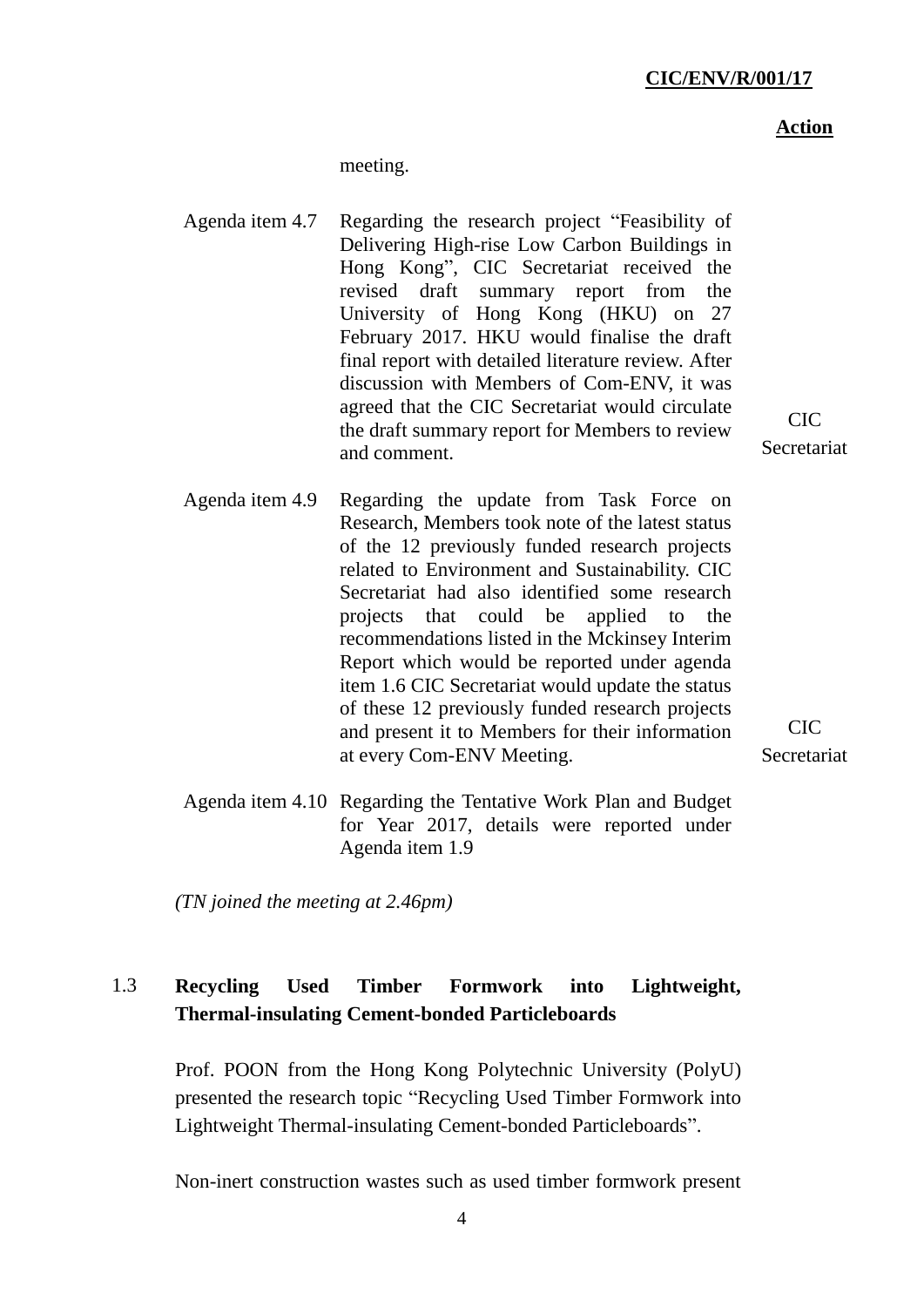#### **Action**

 $CIC$ Secretariat

meeting.

- Agenda item 4.7 Regarding the research project "Feasibility of Delivering High-rise Low Carbon Buildings in Hong Kong", CIC Secretariat received the revised draft summary report from the University of Hong Kong (HKU) on 27 February 2017. HKU would finalise the draft final report with detailed literature review. After discussion with Members of Com-ENV, it was agreed that the CIC Secretariat would circulate the draft summary report for Members to review and comment.
- Agenda item 4.9 Regarding the update from Task Force on Research, Members took note of the latest status of the 12 previously funded research projects related to Environment and Sustainability. CIC Secretariat had also identified some research projects that could be applied to the recommendations listed in the Mckinsey Interim Report which would be reported under agenda item 1.6 CIC Secretariat would update the status of these 12 previously funded research projects and present it to Members for their information at every Com-ENV Meeting.

CIC **Secretariat** 

Agenda item 4.10 Regarding the Tentative Work Plan and Budget for Year 2017, details were reported under Agenda item 1.9

*(TN joined the meeting at 2.46pm)*

## 1.3 **Recycling Used Timber Formwork into Lightweight, Thermal-insulating Cement-bonded Particleboards**

Prof. POON from the Hong Kong Polytechnic University (PolyU) presented the research topic "Recycling Used Timber Formwork into Lightweight Thermal-insulating Cement-bonded Particleboards".

Non-inert construction wastes such as used timber formwork present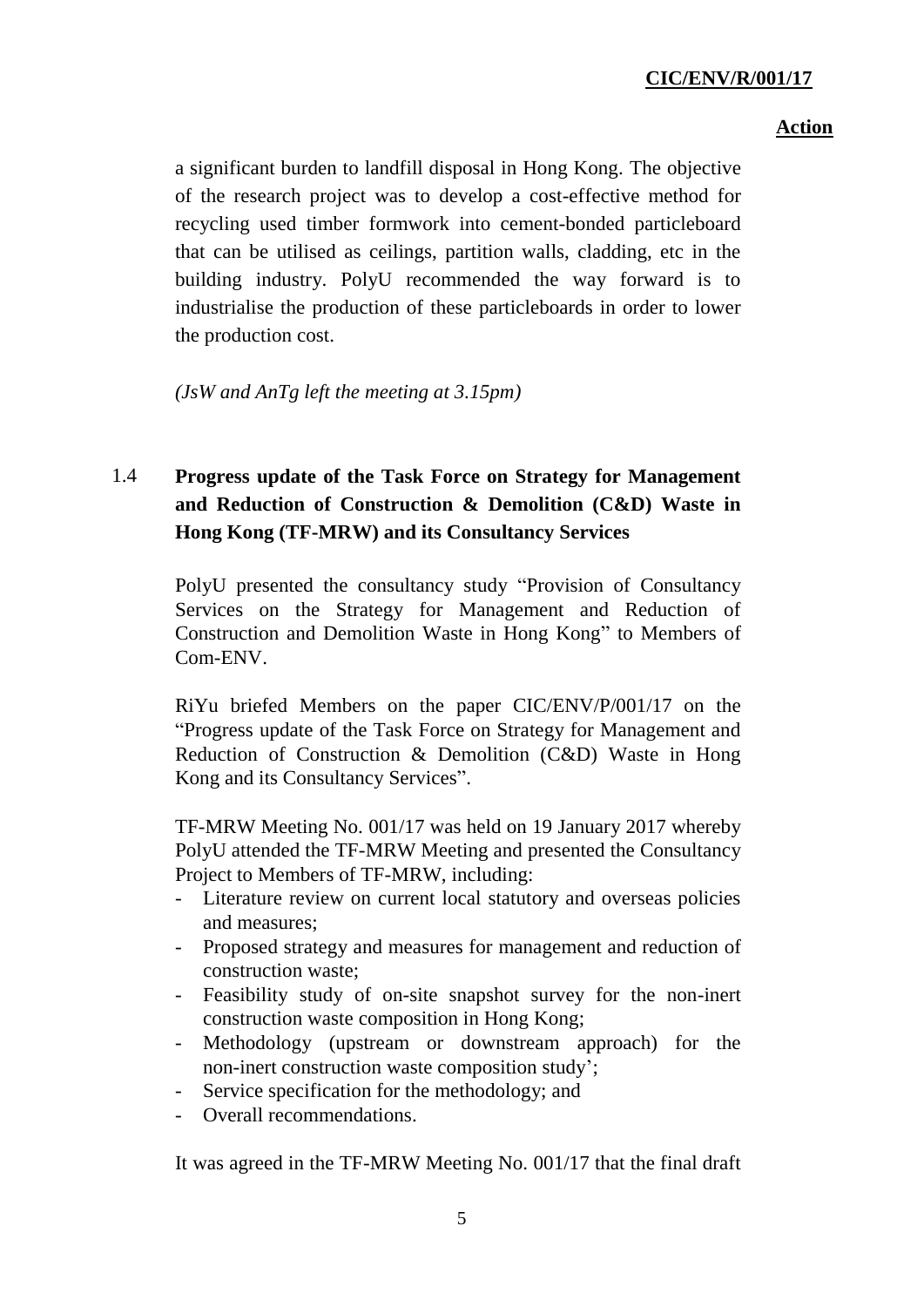## **Action**

a significant burden to landfill disposal in Hong Kong. The objective of the research project was to develop a cost-effective method for recycling used timber formwork into cement-bonded particleboard that can be utilised as ceilings, partition walls, cladding, etc in the building industry. PolyU recommended the way forward is to industrialise the production of these particleboards in order to lower the production cost.

*(JsW and AnTg left the meeting at 3.15pm)*

# 1.4 **Progress update of the Task Force on Strategy for Management and Reduction of Construction & Demolition (C&D) Waste in Hong Kong (TF-MRW) and its Consultancy Services**

PolyU presented the consultancy study "Provision of Consultancy Services on the Strategy for Management and Reduction of Construction and Demolition Waste in Hong Kong" to Members of Com-ENV.

RiYu briefed Members on the paper CIC/ENV/P/001/17 on the "Progress update of the Task Force on Strategy for Management and Reduction of Construction & Demolition (C&D) Waste in Hong Kong and its Consultancy Services".

TF-MRW Meeting No. 001/17 was held on 19 January 2017 whereby PolyU attended the TF-MRW Meeting and presented the Consultancy Project to Members of TF-MRW, including:

- Literature review on current local statutory and overseas policies and measures;
- Proposed strategy and measures for management and reduction of construction waste;
- Feasibility study of on-site snapshot survey for the non-inert construction waste composition in Hong Kong;
- Methodology (upstream or downstream approach) for the non-inert construction waste composition study';
- Service specification for the methodology; and
- Overall recommendations.

It was agreed in the TF-MRW Meeting No. 001/17 that the final draft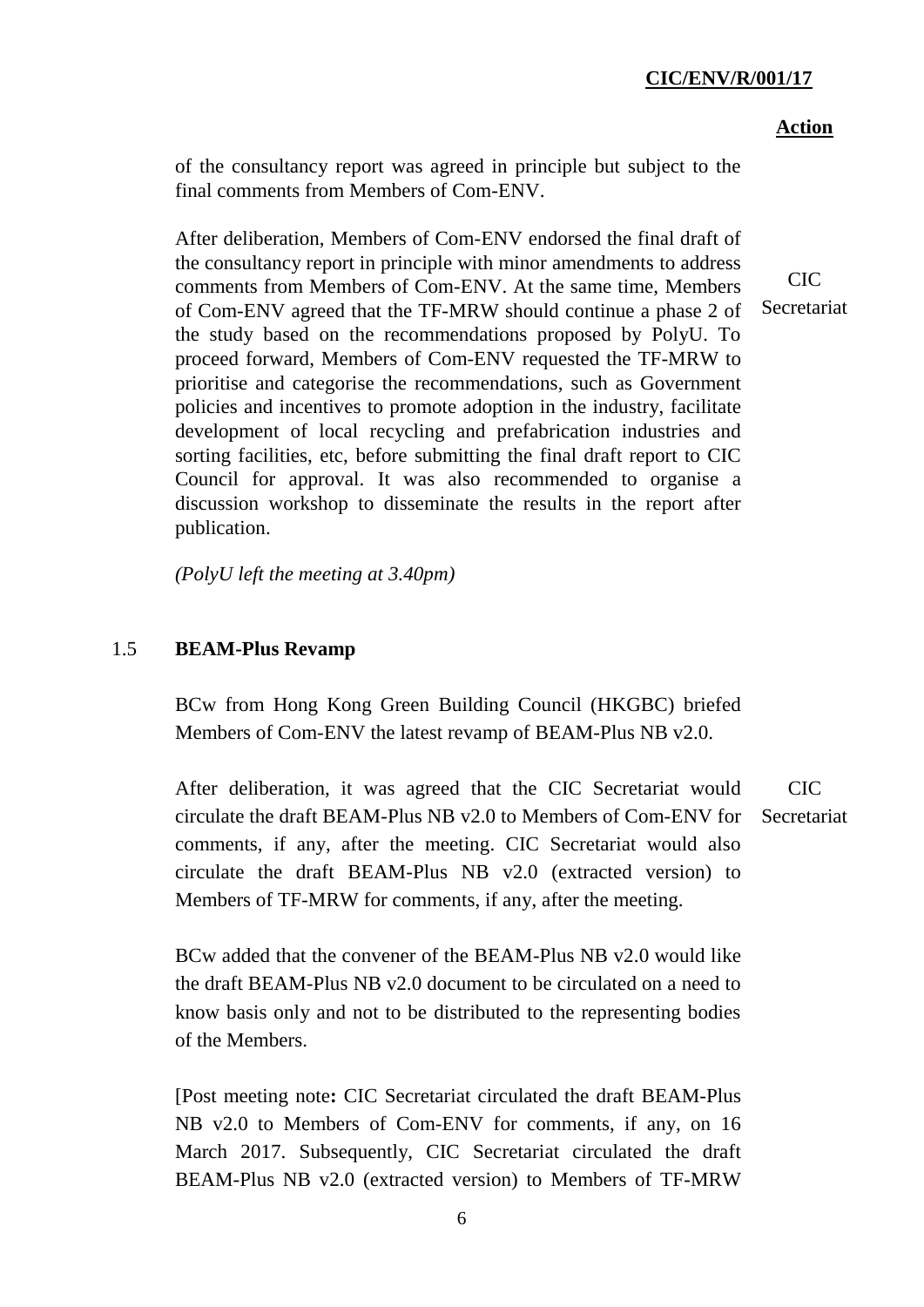#### **Action**

of the consultancy report was agreed in principle but subject to the final comments from Members of Com-ENV.

After deliberation, Members of Com-ENV endorsed the final draft of the consultancy report in principle with minor amendments to address comments from Members of Com-ENV. At the same time, Members of Com-ENV agreed that the TF-MRW should continue a phase 2 of the study based on the recommendations proposed by PolyU. To proceed forward, Members of Com-ENV requested the TF-MRW to prioritise and categorise the recommendations, such as Government policies and incentives to promote adoption in the industry, facilitate development of local recycling and prefabrication industries and sorting facilities, etc, before submitting the final draft report to CIC Council for approval. It was also recommended to organise a discussion workshop to disseminate the results in the report after publication.

*(PolyU left the meeting at 3.40pm)*

#### 1.5 **BEAM-Plus Revamp**

BCw from Hong Kong Green Building Council (HKGBC) briefed Members of Com-ENV the latest revamp of BEAM-Plus NB v2.0.

After deliberation, it was agreed that the CIC Secretariat would circulate the draft BEAM-Plus NB v2.0 to Members of Com-ENV for comments, if any, after the meeting. CIC Secretariat would also circulate the draft BEAM-Plus NB v2.0 (extracted version) to Members of TF-MRW for comments, if any, after the meeting. CIC Secretariat

BCw added that the convener of the BEAM-Plus NB v2.0 would like the draft BEAM-Plus NB v2.0 document to be circulated on a need to know basis only and not to be distributed to the representing bodies of the Members.

[Post meeting note**:** CIC Secretariat circulated the draft BEAM-Plus NB v2.0 to Members of Com-ENV for comments, if any, on 16 March 2017. Subsequently, CIC Secretariat circulated the draft BEAM-Plus NB v2.0 (extracted version) to Members of TF-MRW

CIC Secretariat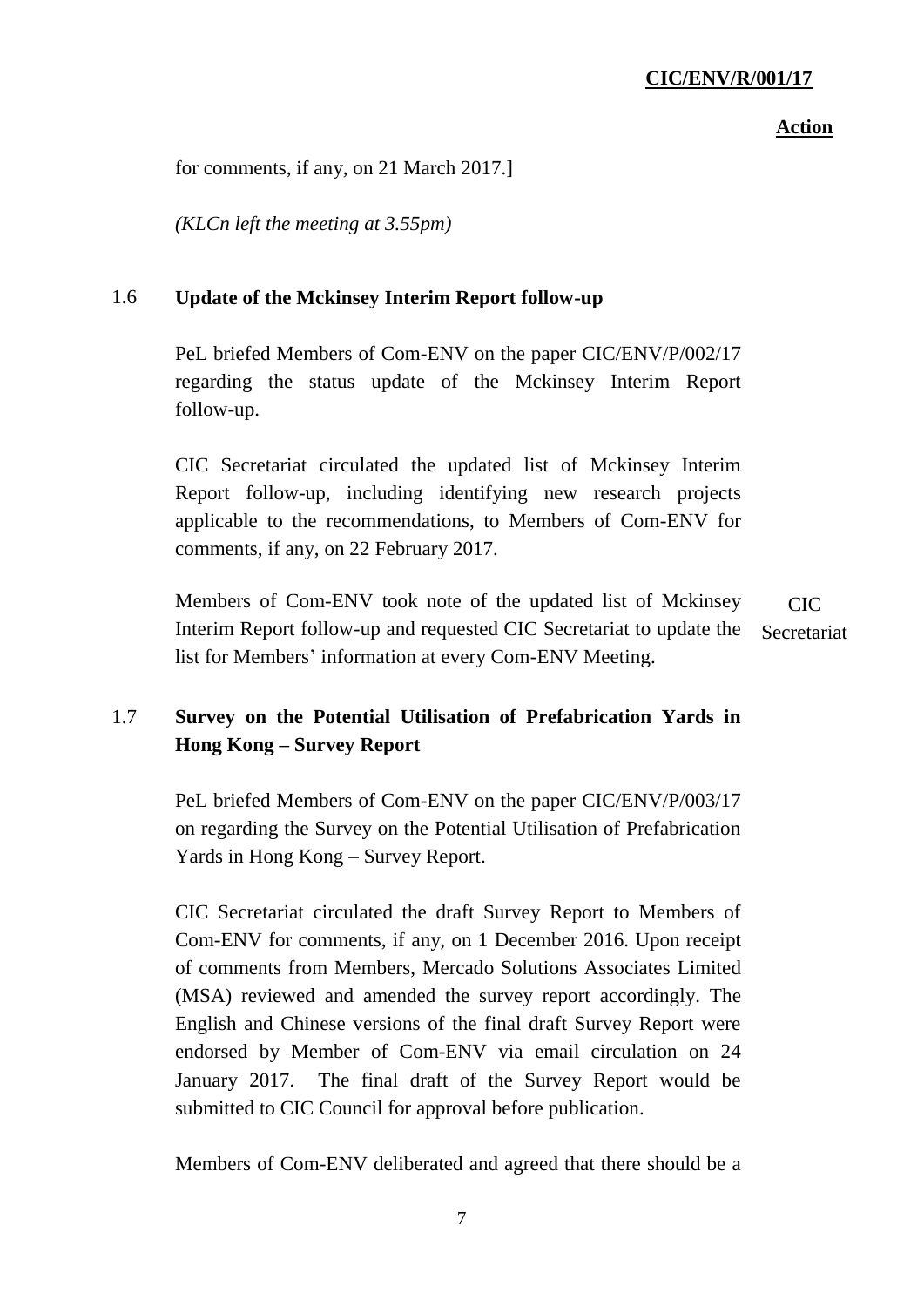### **Action**

for comments, if any, on 21 March 2017.]

*(KLCn left the meeting at 3.55pm)*

## 1.6 **Update of the Mckinsey Interim Report follow-up**

PeL briefed Members of Com-ENV on the paper CIC/ENV/P/002/17 regarding the status update of the Mckinsey Interim Report follow-up.

CIC Secretariat circulated the updated list of Mckinsey Interim Report follow-up, including identifying new research projects applicable to the recommendations, to Members of Com-ENV for comments, if any, on 22 February 2017.

Members of Com-ENV took note of the updated list of Mckinsey Interim Report follow-up and requested CIC Secretariat to update the list for Members' information at every Com-ENV Meeting. CIC Secretariat

## 1.7 **Survey on the Potential Utilisation of Prefabrication Yards in Hong Kong – Survey Report**

PeL briefed Members of Com-ENV on the paper CIC/ENV/P/003/17 on regarding the Survey on the Potential Utilisation of Prefabrication Yards in Hong Kong – Survey Report.

CIC Secretariat circulated the draft Survey Report to Members of Com-ENV for comments, if any, on 1 December 2016. Upon receipt of comments from Members, Mercado Solutions Associates Limited (MSA) reviewed and amended the survey report accordingly. The English and Chinese versions of the final draft Survey Report were endorsed by Member of Com-ENV via email circulation on 24 January 2017. The final draft of the Survey Report would be submitted to CIC Council for approval before publication.

Members of Com-ENV deliberated and agreed that there should be a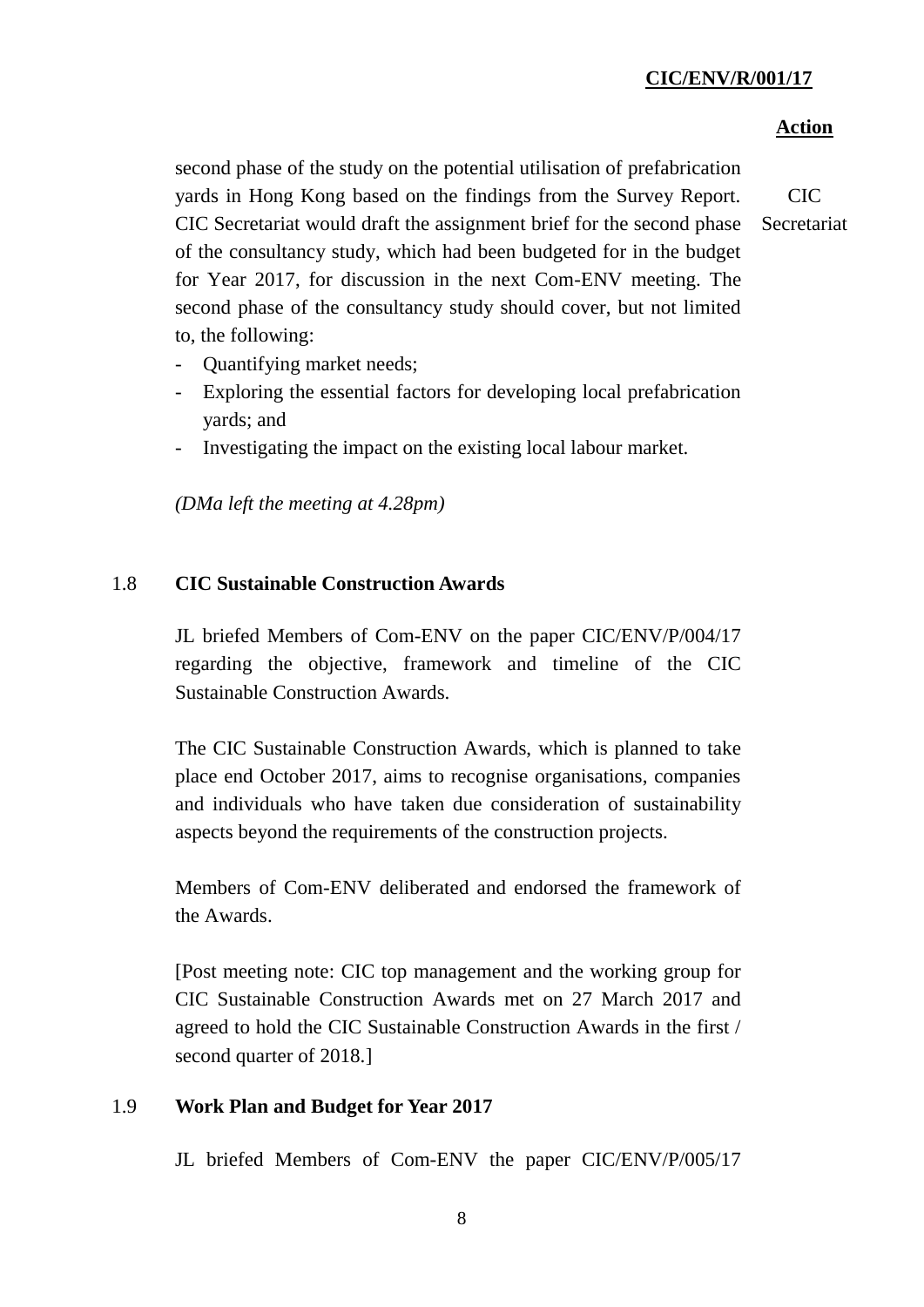## **Action**

second phase of the study on the potential utilisation of prefabrication yards in Hong Kong based on the findings from the Survey Report. CIC Secretariat would draft the assignment brief for the second phase of the consultancy study, which had been budgeted for in the budget for Year 2017, for discussion in the next Com-ENV meeting. The second phase of the consultancy study should cover, but not limited to, the following:

CIC **Secretariat** 

- Quantifying market needs;
- Exploring the essential factors for developing local prefabrication yards; and
- Investigating the impact on the existing local labour market.

*(DMa left the meeting at 4.28pm)*

#### 1.8 **CIC Sustainable Construction Awards**

JL briefed Members of Com-ENV on the paper CIC/ENV/P/004/17 regarding the objective, framework and timeline of the CIC Sustainable Construction Awards.

The CIC Sustainable Construction Awards, which is planned to take place end October 2017, aims to recognise organisations, companies and individuals who have taken due consideration of sustainability aspects beyond the requirements of the construction projects.

Members of Com-ENV deliberated and endorsed the framework of the Awards.

[Post meeting note: CIC top management and the working group for CIC Sustainable Construction Awards met on 27 March 2017 and agreed to hold the CIC Sustainable Construction Awards in the first / second quarter of 2018.]

#### 1.9 **Work Plan and Budget for Year 2017**

JL briefed Members of Com-ENV the paper CIC/ENV/P/005/17